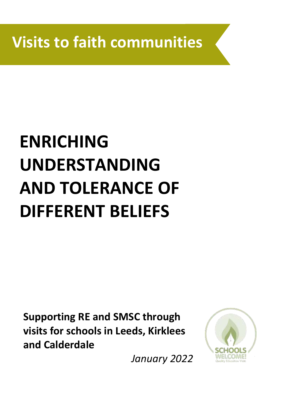**Visits to faith communities**

# **ENRICHING UNDERSTANDING AND TOLERANCE OF DIFFERENT BELIEFS**

**Supporting RE and SMSC through visits for schools in Leeds, Kirklees and Calderdale**



*January 2022*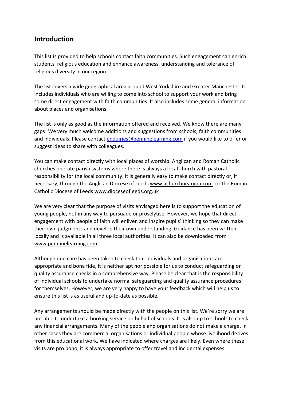### **Introduction**

This list is provided to help schools contact faith communities. Such engagement can enrich students' religious education and enhance awareness, understanding and tolerance of religious diversity in our region.

The list covers a wide geographical area around West Yorkshire and Greater Manchester. It includes individuals who are willing to come into school to support your work and bring some direct engagement with faith communities. It also includes some general information about places and organisations.

The list is only as good as the information offered and received. We know there are many gaps! We very much welcome additions and suggestions from schools, faith communities and individuals. Please contact [enquiries@penninelearning.com](mailto:enquiries@penninelearning.com) if you would like to offer or suggest ideas to share with colleagues.

You can make contact directly with local places of worship. Anglican and Roman Catholic churches operate parish systems where there is always a local church with pastoral responsibility for the local community. It is generally easy to make contact directly or, if necessary, through the Anglican Diocese of Leeds [www.achurchnearyou.com](http://www.achurchnearyou.com/) or the Roman Catholic Diocese of Leeds [www.dioceseofleeds.org.uk](http://www.dioceseofleeds.org.uk/)

We are very clear that the purpose of visits envisaged here is to support the education of young people, not in any way to persuade or proselytise. However, we hope that direct engagement with people of faith will enliven and inspire pupils' thinking so they can make their own judgments and develop their own understanding. Guidance has been written locally and is available in all three local authorities. It can also be downloaded from [www.penninelearning.com.](http://www.penninelearning.com/)

Although due care has been taken to check that individuals and organisations are appropriate and bona fide, it is neither apt nor possible for us to conduct safeguarding or quality assurance checks in a comprehensive way. Please be clear that is the responsibility of individual schools to undertake normal safeguarding and quality assurance procedures for themselves. However, we are very happy to have your feedback which will help us to ensure this list is as useful and up-to-date as possible.

Any arrangements should be made directly with the people on this list. We're sorry we are not able to undertake a booking service on behalf of schools. It is also up to schools to check any financial arrangements. Many of the people and organisations do not make a charge. In other cases they are commercial organisations or individual people whose livelihood derives from this educational work. We have indicated where charges are likely. Even where these visits are pro bono, it is always appropriate to offer travel and incidental expenses.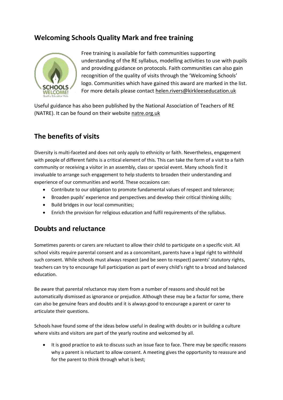### **Welcoming Schools Quality Mark and free training**



Free training is available for faith communities supporting understanding of the RE syllabus, modelling activities to use with pupils and providing guidance on protocols. Faith communities can also gain recognition of the quality of visits through the 'Welcoming Schools' logo. Communities which have gained this award are marked in the list. For more details please contact [helen.rivers@kirkleeseducation.uk](mailto:helen.rivers@kirkleeseducation.uk)

Useful guidance has also been published by the National Association of Teachers of RE (NATRE). It can be found on their website [natre.org.uk](https://www.natre.org.uk/about-re/guidance-on-resources/visits-and-visitors/)

# **The benefits of visits**

Diversity is multi-faceted and does not only apply to ethnicity or faith. Nevertheless, engagement with people of different faiths is a critical element of this. This can take the form of a visit to a faith community or receiving a visitor in an assembly, class or special event. Many schools find it invaluable to arrange such engagement to help students to broaden their understanding and experience of our communities and world. These occasions can:

- Contribute to our obligation to promote fundamental values of respect and tolerance;
- Broaden pupils' experience and perspectives and develop their critical thinking skills;
- Build bridges in our local communities;
- Enrich the provision for religious education and fulfil requirements of the syllabus.

### **Doubts and reluctance**

Sometimes parents or carers are reluctant to allow their child to participate on a specific visit. All school visits require parental consent and as a concomitant, parents have a legal right to withhold such consent. While schools must always respect (and be seen to respect) parents' statutory rights, teachers can try to encourage full participation as part of every child's right to a broad and balanced education.

Be aware that parental reluctance may stem from a number of reasons and should not be automatically dismissed as ignorance or prejudice. Although these may be a factor for some, there can also be genuine fears and doubts and it is always good to encourage a parent or carer to articulate their questions.

Schools have found some of the ideas below useful in dealing with doubts or in building a culture where visits and visitors are part of the yearly routine and welcomed by all.

• It is good practice to ask to discuss such an issue face to face. There may be specific reasons why a parent is reluctant to allow consent. A meeting gives the opportunity to reassure and for the parent to think through what is best;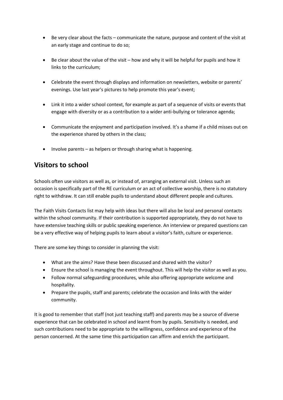- Be very clear about the facts communicate the nature, purpose and content of the visit at an early stage and continue to do so;
- Be clear about the value of the visit how and why it will be helpful for pupils and how it links to the curriculum;
- Celebrate the event through displays and information on newsletters, website or parents' evenings. Use last year's pictures to help promote this year's event;
- Link it into a wider school context, for example as part of a sequence of visits or events that engage with diversity or as a contribution to a wider anti-bullying or tolerance agenda;
- Communicate the enjoyment and participation involved. It's a shame if a child misses out on the experience shared by others in the class;
- $\bullet$  Involve parents as helpers or through sharing what is happening.

# **Visitors to school**

Schools often use visitors as well as, or instead of, arranging an external visit. Unless such an occasion is specifically part of the RE curriculum or an act of collective worship, there is no statutory right to withdraw. It can still enable pupils to understand about different people and cultures.

The Faith Visits Contacts list may help with ideas but there will also be local and personal contacts within the school community. If their contribution is supported appropriately, they do not have to have extensive teaching skills or public speaking experience. An interview or prepared questions can be a very effective way of helping pupils to learn about a visitor's faith, culture or experience.

There are some key things to consider in planning the visit:

- What are the aims? Have these been discussed and shared with the visitor?
- Ensure the school is managing the event throughout. This will help the visitor as well as you.
- Follow normal safeguarding procedures, while also offering appropriate welcome and hospitality.
- Prepare the pupils, staff and parents; celebrate the occasion and links with the wider community.

It is good to remember that staff (not just teaching staff) and parents may be a source of diverse experience that can be celebrated in school and learnt from by pupils. Sensitivity is needed, and such contributions need to be appropriate to the willingness, confidence and experience of the person concerned. At the same time this participation can affirm and enrich the participant.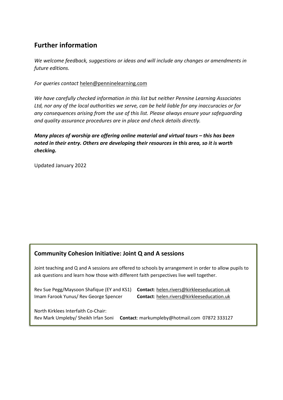# **Further information**

*We welcome feedback, suggestions or ideas and will include any changes or amendments in future editions.*

*For queries contact* [helen@penninelearning.com](mailto:helen@penninelearning.com)

*We have carefully checked information in this list but neither Pennine Learning Associates Ltd, nor any of the local authorities we serve, can be held liable for any inaccuracies or for any consequences arising from the use of this list. Please always ensure your safeguarding and quality assurance procedures are in place and check details directly.*

*Many places of worship are offering online material and virtual tours – this has been noted in their entry. Others are developing their resources in this area, so it is worth checking.*

Updated January 2022

### **Community Cohesion Initiative: Joint Q and A sessions**

Joint teaching and Q and A sessions are offered to schools by arrangement in order to allow pupils to ask questions and learn how those with different faith perspectives live well together.

Rev Sue Pegg/Maysoon Shafique (EY and KS1) **Contact**[: helen.rivers@kirkleeseducation.uk](mailto:helen.rivers@kirkleeseducation.uk) Imam Farook Yunus/ Rev George Spencer **Contact**[: helen.rivers@kirkleeseducation.uk](mailto:helen.rivers@kirkleeseducation.uk)

North Kirklees Interfaith Co-Chair: Rev Mark Umpleby/ Sheikh Irfan Soni **Contact**: markumpleby@hotmail.com 07872 333127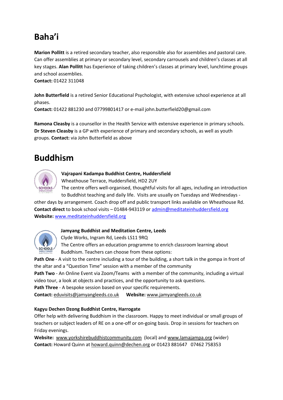# **Baha'i**

**Marion Pollitt** is a retired secondary teacher, also responsible also for assemblies and pastoral care. Can offer assemblies at primary or secondary level, secondary carrousels and children's classes at all key stages. **Alan Pollitt** has Experience of taking children's classes at primary level, lunchtime groups and school assemblies.

**Contact:** 01422 311048

**John Butterfield** is a retired Senior Educational Psychologist, with extensive school experience at all phases.

**Contact:** 01422 881230 and 07799801417 or e-mail john.butterfield20@gmail.com

**Ramona Cleasby** is a counsellor in the Health Service with extensive experience in primary schools. **Dr Steven Cleasby** is a GP with experience of primary and secondary schools, as well as youth groups. **Contact:** via John Butterfield as above

# **Buddhism**



**Vajrapani Kadampa Buddhist Centre, Huddersfield**

Wheathouse Terrace, Huddersfield, HD2 2UY

The centre offers well-organised, thoughtful visits for all ages, including an introduction to Buddhist teaching and daily life. Visits are usually on Tuesdays and Wednesdays -

other days by arrangement. Coach drop off and public transport links available on Wheathouse Rd. **Contact direct** to book school visits – 01484-943119 or [admin@meditateinhuddersfield.org](mailto:admin@meditateinhuddersfield.org) **Website:** [www.meditateinhuddersfield.org](http://www.meditateinhuddersfield.org/) 



### **Jamyang Buddhist and Meditation Centre, Leeds**

Clyde Works, Ingram Rd, Leeds LS11 9RQ

The Centre offers an education programme to enrich classroom learning about Buddhism. Teachers can choose from these options:

**Path One** - A visit to the centre including a tour of the building, a short talk in the gompa in front of the altar and a "Question Time" session with a member of the community

**Path Two** - An Online Event via Zoom/Teams with a member of the community, including a virtual video tour, a look at objects and practices, and the opportunity to ask questions.

**Path Three** - A bespoke session based on your specific requirements.

**Contact:** [eduvisits@jamyangleeds.co.uk](mailto:eduvisits@jamyangleeds.co.uk) **Website:** [www.jamyangleeds.co.uk](http://www.jamyangleeds.co.uk/)

### **Kagyu Dechen Dzong Buddhist Centre, Harrogate**

Offer help with delivering Buddhism in the classroom. Happy to meet individual or small groups of teachers or subject leaders of RE on a one-off or on-going basis. Drop in sessions for teachers on Friday evenings.

**Website:** [www.yorkshirebuddhistcommunity.com](http://www.yorkshirebuddhistcommunity.com/) (local) and [www.lamajampa.org](http://www.lamajampa.org/) (wider) **Contact:** Howard Quinn at [howard.quinn@dechen.org](mailto:howard.quinn@dechen.org) or 01423 881647 07462 758353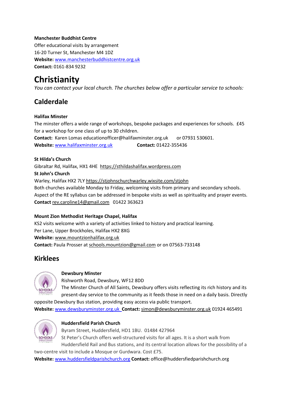### **Manchester Buddhist Centre**

Offer educational visits by arrangement 16-20 Turner St, Manchester M4 1DZ **Website:** [www.manchesterbuddhistcentre.org.uk](http://www.manchesterbuddhistcentre.org.uk/) **Contact:** 0161-834 9232

# **Christianity**

*You can contact your local church. The churches below offer a particular service to schools:*

# **Calderdale**

### **Halifax Minster**

The minster offers a wide range of workshops, bespoke packages and experiences for schools. £45 for a workshop for one class of up to 30 children. **Contact:** Karen Lomas educationofficer@halifaxminster.org.uk or 07931 530601. Website: [www.halifaxminster.org.uk](http://www.halifaxminster.org.uk/) **Contact:** 01422-355436

### **St Hilda's Church**

Gibraltar Rd, Halifax, HX1 4HE [https://sthildashalifax.wordpress.com](https://sthildashalifax.wordpress.com/) **St John's Church** Warley, Halifax HX2 7LY <https://stjohnschurchwarley.wixsite.com/stjohn> Both churches available Monday to Friday, welcoming visits from primary and secondary schools. Aspect of the RE syllabus can be addressed in bespoke visits as well as spirituality and prayer events. **Contact** [rev.caroline14@gmail.com](mailto:rev.caroline14@gmail.com) 01422 363623

### **Mount Zion Methodist Heritage Chapel, Halifax**

KS2 visits welcome with a variety of activities linked to history and practical learning. Per Lane, Upper Brockholes, Halifax HX2 8XG **Website:** [www.mountzionhalifax.org.uk](http://www.mountzionhalifax.org.uk/) **Contact:** Paula Prosser at [schools.mountzion@gmail.com](mailto:schools.mountzion@gmail.com) or on 07563-733148

### **Kirklees**



### **Dewsbury Minster**

Rishworth Road, Dewsbury, WF12 8DD

The Minster Church of All Saints, Dewsbury offers visits reflecting its rich history and its present-day service to the community as it feeds those in need on a daily basis. Directly

opposite Dewsbury Bus station, providing easy access via public transport. **Website:** [www.dewsburyminster.org.uk](http://www.dewsburyminster.org.uk/) **Contact:** [simon@dewsburyminster.org.uk](mailto:simon@dewsburyminster.org.uk) 01924 465491



### **Huddersfield Parish Church**

Byram Street, Huddersfield, HD1 1BU. 01484 427964 St Peter's Church offers well-structured visits for all ages. It is a short walk from Huddersfield Rail and Bus stations, and its central location allows for the possibility of a

two-centre visit to include a Mosque or Gurdwara. Cost £75. **Website:** [www.huddersfieldparishchurch.org](http://www.huddersfieldparishchurch.org/) **Contact:** [office@huddersfiedparishchurch.org](mailto:office@huddersfiedparishchurch.org)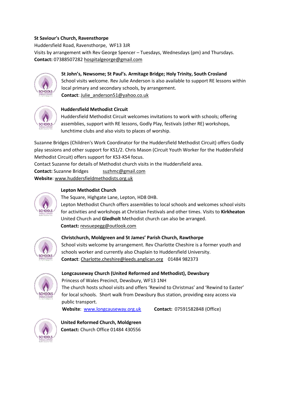### **St Saviour's Church, Ravensthorpe**

Huddersfield Road, Ravensthorpe, WF13 3JR Visits by arrangement with Rev George Spencer – Tuesdays, Wednesdays (pm) and Thursdays. **Contact:** 0738850728[2 hospitalgeorge@gmail.com](mailto:hospitalgeorge@gmail.com)



**St John's, Newsome; St Paul's. Armitage Bridge; Holy Trinity, South Crosland** School visits welcome. Rev Julie Anderson is also available to support RE lessons within local primary and secondary schools, by arrangement. **Contact**[: Julie\\_anderson51@yahoo.co.uk](mailto:Julie_anderson51@yahoo.co.uk)



### **Huddersfield Methodist Circuit**

Huddersfield Methodist Circuit welcomes invitations to work with schools; offering assemblies, support with RE lessons, Godly Play, festivals (other RE) workshops, lunchtime clubs and also visits to places of worship.

Suzanne Bridges (Children's Work Coordinator for the Huddersfield Methodist Circuit) offers Godly play sessions and other support for KS1/2. Chris Mason (Circuit Youth Worker for the Huddersfield Methodist Circuit) offers support for KS3-KS4 focus.

Contact Suzanne for details of Methodist church visits in the Huddersfield area.

**Contact:** Suzanne Bridges suzhmc@gmail.com **Website**: [www.huddersfieldmethodists.org.uk](http://www.huddersfieldmethodists.org.uk/)



### **Lepton Methodist Church**

The Square, Highgate Lane, Lepton, HD8 0HB.

Lepton Methodist Church offers assemblies to local schools and welcomes school visits for activities and workshops at Christian Festivals and other times. Visits to **Kirkheaton** United Church and **Gledholt** Methodist church can also be arranged.  **Contact:** [revsuepegg@outlook.com](mailto:revsuepegg@outlook.com)



### **Christchurch, Moldgreen and St James' Parish Church, Rawthorpe**

School visits welcome by arrangement. Rev Charlotte Cheshire is a former youth and schools worker and currently also Chaplain to Huddersfield University. **Contact**[: Charlotte.cheshire@leeds.anglican.org](mailto:Charlotte.cheshire@leeds.anglican.org) 01484 982373



### **Longcauseway Church (United Reformed and Methodist), Dewsbury**

Princess of Wales Precinct, Dewsbury, WF13 1NH

The church hosts school visits and offers 'Rewind to Christmas' and 'Rewind to Easter' for local schools. Short walk from Dewsbury Bus station, providing easy access via public transport.

 **Website**: [www.longcauseway.org.uk](http://www.longcauseway.org.uk/) **Contact:** 07591582848 (Office)



**United Reformed Church, Moldgreen Contact:** Church Office 01484 430556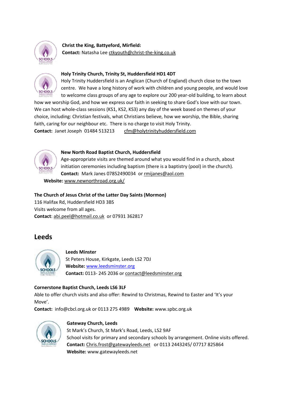

**Christ the King, Battyeford, Mirfield: Contact:** Natasha Lee [ctkyouth@christ-the-king.co.uk](mailto:ctkyouth@christ-the-king.co.uk)



### **Holy Trinity Church, Trinity St, Huddersfield HD1 4DT**

Holy Trinity Huddersfield is an Anglican (Church of England) church close to the town centre. We have a long history of work with children and young people, and would love to welcome class groups of any age to explore our 200 year-old building, to learn about

how we worship God, and how we express our faith in seeking to share God's love with our town. We can host whole-class sessions (KS1, KS2, KS3) any day of the week based on themes of your choice, including: Christian festivals, what Christians believe, how we worship, the Bible, sharing faith, caring for our neighbour etc. There is no charge to visit Holy Trinity. **Contact:** Janet Joseph01484 513213 [cfm@holytrinityhuddersfield.com](mailto:cfm@holytrinityhuddersfield.com)



### **New North Road Baptist Church, Huddersfield**

Age-appropriate visits are themed around what you would find in a church, about initiation ceremonies including baptism (there is a baptistry (pool) in the church). **Contact:** Mark Janes 07852490034 o[r rmijanes@aol.com](mailto:rmijanes@aol.com)

 **Website:** [www.newnorthroad.org.uk/](http://www.newnorthroad.org.uk/)

### **The Church of Jesus Christ of the Latter Day Saints (Mormon)**

116 Halifax Rd, Huddersfield HD3 3BS Visits welcome from all ages. **Contact**: [abi.peel@hotmail.co.uk](mailto:abi.peel@hotmail.co.uk) or 07931 362817

### **Leeds**



### **Leeds Minster**

St Peters House, Kirkgate, Leeds LS2 7DJ **Website:** [www.leedsminster.org](http://www.leedsminster.org/) **Contact:** 0113- 245 2036 or contact@leedsminster.org

### **Cornerstone Baptist Church, Leeds LS6 3LF**

Able to offer church visits and also offer: Rewind to Christmas, Rewind to Easter and 'It's your Move'.

**Contact:** info@cbcl.org.uk or 0113 275 4989 **Website:** www.spbc.org.uk



### **Gateway Church, Leeds**

St Mark's Church, St Mark's Road, Leeds, LS2 9AF School visits for primary and secondary schools by arrangement. Online visits offered. **Contact:** [Chris.frost@gatewayleeds.net](mailto:Chris.frost@gatewayleeds.net) or 0113 2443245/ 07717 825864 **Website:** www.gatewayleeds.net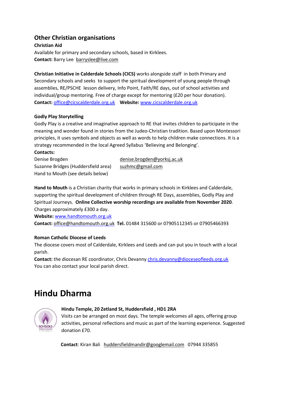### **Other Christian organisations**

### **Christian Aid** Available for primary and secondary schools, based in Kirklees. **Contact:** Barry Lee [barryslee@live.com](mailto:barryslee@live.com)

**Christian Initiative in Calderdale Schools (CICS)** works alongside staff in both Primary and Secondary schools and seeks to support the spiritual development of young people through assemblies, RE/PSCHE lesson delivery, Info Point, Faith/RE days, out of school activities and individual/group mentoring. Free of charge except for mentoring (£20 per hour donation). **Contact:** [office@cicscalderdale.org.uk](mailto:office@cicscalderdale.org.uk) **Website:** [www.cicscalderdale.org.uk](http://www.cicscalderdale.org.uk/)

### **Godly Play Storytelling**

Godly Play is a creative and imaginative approach to RE that invites children to participate in the meaning and wonder found in stories from the Judeo-Christian tradition. Based upon Montessori principles, it uses symbols and objects as well as words to help children make connections. It is a strategy recommended in the local Agreed Syllabus 'Believing and Belonging'.

**Contacts:**

Suzanne Bridges (Huddersfield area) [suzhmc@gmail.com](mailto:suzhmc@gmail.com) Hand to Mouth (see details below)

Denise Brogden [denise.brogden@yorksj.ac.uk](mailto:denise.brogden@yorksj.ac.uk)

**Hand to Mouth** is a Christian charity that works in primary schools in Kirklees and Calderdale, supporting the spiritual development of children through RE Days, assemblies, Godly Play and Spiritual Journeys. **Online Collective worship recordings are available from November 2020**. Charges approximately £300 a day.

**Website:** [www.handtomouth.org.uk](http://www.handtomouth.org.uk/)

**Contact:** [office@handtomouth.org.uk](mailto:office@handtomouth.org.uk) **Tel.** 01484 315600 or 07905112345 or 07905466393

### **Roman Catholic Diocese of Leeds**

The diocese covers most of Calderdale, Kirklees and Leeds and can put you in touch with a local parish.

**Contact:** the diocesan RE coordinator, Chris Devanny [chris.devanny@dioceseofleeds.org.uk](mailto:chris.devanny@dioceseofleeds.org.uk) You can also contact your local parish direct.

# **Hindu Dharma**



### **Hindu Temple, 20 Zetland St, Huddersfield , HD1 2RA**

Visits can be arranged on most days. The temple welcomes all ages, offering group activities, personal reflections and music as part of the learning experience. Suggested donation £70.

 **Contact**: Kiran Bali [huddersfieldmandir@googlemail.com](mailto:huddersfieldmandir@googlemail.com) 07944 335855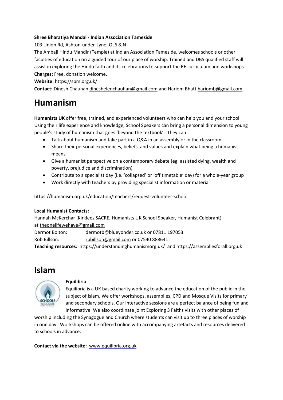### **Shree Bharatiya Mandal - Indian Association Tameside**

103 Union Rd, Ashton-under-Lyne, OL6 8JN

The Ambaji Hindu Mandir (Temple) at Indian Association Tameside, welcomes schools or other faculties of education on a guided tour of our place of worship. Trained and DBS qualified staff will assist in exploring the Hindu faith and its celebrations to support the RE curriculum and workshops. **Charges:** Free, donation welcome.

**Website:** <https://sbm.org.uk/>

**Contact:** Dinesh Chauhan [dineshelenchauhan@gmail.com](mailto:dineshelenchauhan@gmail.com) and Hariom Bhatt [hariomb@gmail.com](mailto:hariomb@gmail.com)

# **Humanism**

**Humanists UK** offer free, trained, and experienced volunteers who can help you and your school. Using their life experience and knowledge, School Speakers can bring a personal dimension to young people's study of humanism that goes 'beyond the textbook'. They can:

- Talk about humanism and take part in a Q&A in an assembly or in the classroom
- Share their personal experiences, beliefs, and values and explain what being a humanist means
- Give a humanist perspective on a contemporary debate (eg. assisted dying, wealth and poverty, prejudice and discrimination)
- Contribute to a specialist day (i.e. 'collapsed' or 'off timetable' day) for a whole-year group
- Work directly with teachers by providing specialist information or material

<https://humanism.org.uk/education/teachers/request-volunteer-school>

### **Local Humanist Contacts:**

Hannah McKerchar (Kirklees SACRE, Humanists UK School Speaker, Humanist Celebrant) at [theonelifewehave@gmail.com](mailto:theonelifewehave@gmail.com)

Dermot Bolton: [dermotb@blueyonder.co.uk](mailto:dermotb@blueyonder.co.uk) or 07811 197053 Rob Billson: [rbbillson@gmail.com](mailto:rbbillson@gmail.com) or 07540 888641

**Teaching resources:** <https://understandinghumanismorg.uk/> and [https://assembliesforall.org.uk](https://assembliesforall.org.uk/)



### **Equilibria**

Equilibria is a UK based charity working to advance the education of the public in the subject of Islam. We offer workshops, assemblies, CPD and Mosque Visits for primary and secondary schools. Our interactive sessions are a perfect balance of being fun and informative. We also coordinate joint Exploring 3 Faiths visits with other places of

worship including the Synagogue and Church where students can visit up to three places of worship in one day. Workshops can be offered online with accompanying artefacts and resources delivered to schools in advance.

**Contact via the website:** [www.equilibria.org.uk](http://www.equilibria.org.uk/)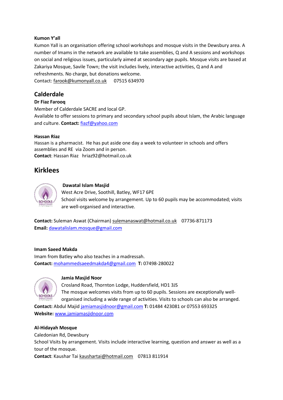### **Kumon Y'all**

Kumon Yall is an organisation offering school workshops and mosque visits in the Dewsbury area. A number of Imams in the network are available to take assemblies, Q and A sessions and workshops on social and religious issues, particularly aimed at secondary age pupils. Mosque visits are based at Zakariya Mosque, Savile Town; the visit includes lively, interactive activities, Q and A and refreshments. No charge, but donations welcome.

Contact: [farook@kumonyall.co.uk](mailto:farook@kumonyall.co.uk) 07515 634970

### **Calderdale**

### **Dr Fiaz Farooq**

Member of Calderdale SACRE and local GP. Available to offer sessions to primary and secondary school pupils about Islam, the Arabic language and culture. **Contact:** [fiazf@yahoo.com](mailto:fiazf@yahoo.com)

### **Hassan Riaz**

Hassan is a pharmacist. He has put aside one day a week to volunteer in schools and offers assemblies and RE via Zoom and in person. **Contact**: Hassan Riaz hriaz92@hotmail.co.uk

### **Kirklees**



### **Dawatal Islam Masjid**

West Acre Drive, Soothill, Batley, WF17 6PE School visits welcome by arrangement. Up to 60 pupils may be accommodated; visits are well-organised and interactive.

**Contact:** Suleman Aswat (Chairman) [sulemanaswat@hotmail.co.uk](mailto:sulemanaswat@hotmail.co.uk)07736-871173 **Email:** [dawatalislam.mosque@gmail.com](mailto:dawatalislam.mosque@gmail.com)

### **Imam Saeed Makda**

Imam from Batley who also teaches in a madressah. **Contact:** [mohammedsaeedmakda4@gmail.com](mailto:mohammedsaeedmakda4@gmail.com) **T:** 07498-280022



### **Jamia Masjid Noor**

Crosland Road, Thornton Lodge, Huddersfield, HD1 3JS The mosque welcomes visits from up to 60 pupils. Sessions are exceptionally wellorganised including a wide range of activities. Visits to schools can also be arranged.

**Contact:** Abdul Majid [jamiamasjidnoor@gmail.com](mailto:jamiamasjidnoor@gmail.com) **T:** 01484 423081 or 07553 693325 **Website:** [www.jamiamasjidnoor.com](http://www.jamiamasjidnoor.com/)

### **Al-Hidayah Mosque**

Caledonian Rd, Dewsbury School Visits by arrangement. Visits include interactive learning, question and answer as well as a tour of the mosque. **Contact**: Kaushar Tai [kaushartai@hotmail.com](mailto:kaushartai@hotmail.com) 07813 811914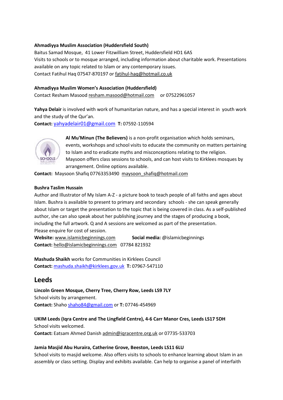### **Ahmadiyya Muslim Association (Huddersfield South)**

Baitus Samad Mosque, 41 Lower Fitzwilliam Street, Huddersfield HD1 6AS Visits to schools or to mosque arranged, including information about charitable work. Presentations available on any topic related to Islam or any contemporary issues. Contact Fatihul Haq 07547-870197 or [fatihul-haq@hotmail.co.uk](mailto:fatihul-haq@hotmail.co.uk)

### **Ahmadiyya Muslim Women's Association (Huddersfield)**

Contact Resham Masood [resham.masood@hotmail.com](mailto:resham.masood@hotmail.com) or 07522961057

**Yahya Delair** is involved with work of humanitarian nature, and has a special interest in youth work and the study of the Qur'an.

**Contact:** [yahyadelair01@gmail.com](mailto:yahyadelair01@gmail.com) **T:** 07592-110594



**Al Mu'Minun (The Believers)** is a non-profit organisation which holds seminars, events, workshops and school visits to educate the community on matters pertaining to Islam and to eradicate myths and misconceptions relating to the religion. Maysoon offers class sessions to schools, and can host visits to Kirklees mosques by arrangement. Online options available.

**Contact:** Maysoon Shafiq 07763353490 [maysoon\\_shafiq@hotmail.com](mailto:maysoon_shafiq@hotmail.com)

### **Bushra Taslim Hussain**

Author and Illustrator of My Islam A-Z - a picture book to teach people of all faiths and ages about Islam. Bushra is available to present to primary and secondary schools - she can speak generally about Islam or target the presentation to the topic that is being covered in class. As a self-published author, she can also speak about her publishing journey and the stages of producing a book, including the full artwork. Q and A sessions are welcomed as part of the presentation. Please enquire for cost of session.

**Website:** [www.islamicbeginnings.com](http://www.islamicbeginnings.com/) **Social media:** @islamicbeginnings **Contact:** [hello@islamicbeginnings.com](mailto:hello@islamicbeginnings.com)07784 821932

**Mashuda Shaikh** works for Communities in Kirklees Council **Contact:** [mashuda.shaikh@kirklees.gov.uk](mailto:mashuda.shaikh@kirklees.gov.uk) **T:** 07967-547110

### **Leeds**

**Lincoln Green Mosque, Cherry Tree, Cherry Row, Leeds LS9 7LY** School visits by arrangement. **Contact:** Shaho [shaho84@gmail.com](mailto:shah084@gmail.com) or **T:** 07746-454969

**UKIM Leeds (Iqra Centre and The Lingfield Centre), 4-6 Carr Manor Cres, Leeds LS17 5DH** School visits welcomed. **Contact:** Eatsam Ahmed Danish [admin@iqracentre.org.uk](mailto:admin@iqracentre.org.uk) or 07735-533703

### **Jamia Masjid Abu Huraira, Catherine Grove, Beeston, Leeds LS11 6LU**

School visits to masjid welcome. Also offers visits to schools to enhance learning about Islam in an assembly or class setting. Display and exhibits available. Can help to organise a panel of interfaith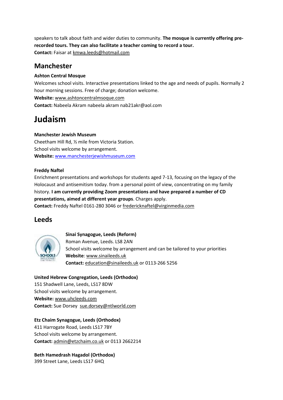speakers to talk about faith and wider duties to community. **The mosque is currently offering prerecorded tours. They can also facilitate a teacher coming to record a tour. Contact:** Faisar at [kmwa.leeds@hotmail.com](mailto:kmwa.leeds@hotmail.com)

### **Manchester**

### **Ashton Central Mosque**

Welcomes school visits. Interactive presentations linked to the age and needs of pupils. Normally 2 hour morning sessions. Free of charge; donation welcome. **Website:** [www.ashtoncentralmsoque.com](http://www.ashtoncentralmsoque.com/) **Contact:** Nabeela Akram nabeela akram nab21akr@aol.com

# **Judaism**

### **Manchester Jewish Museum**

Cheetham Hill Rd, ½ mile from Victoria Station. School visits welcome by arrangement. **Website:** [www.manchesterjewishmuseum.com](http://www.manchesterjewishmuseum.com/)

### **Freddy Naftel**

Enrichment presentations and workshops for students aged 7-13, focusing on the legacy of the Holocaust and antisemitism today. from a personal point of view, concentrating on my family history. **I am currently providing Zoom presentations and have prepared a number of CD presentations, aimed at different year groups**. Charges apply. **Contact:** Freddy Naftel 0161-280 3046 or [fredericknaftel@virginmedia.com](mailto:fredericknaftel@virginmedia.com)

### **Leeds**



**Sinai Synagogue, Leeds (Reform)** Roman Avenue, Leeds. LS8 2AN School visits welcome by arrangement and can be tailored to your priorities **Website**: [www.sinaileeds.uk](http://www.sinaileeds.uk/) **Contact:** [education@sinaileeds.uk](mailto:education@sinaileeds.uk) or 0113-266 5256

### **United Hebrew Congregation, Leeds (Orthodox)**

151 Shadwell Lane, Leeds, LS17 8DW School visits welcome by arrangement. **Website:** [www.uhcleeds.com](http://www.uhcleeds.com/) **Contact:** Sue Dorsey [sue.dorsey@ntlworld.com](mailto:sue.dorsey@ntlworld.com)

**Etz Chaim Synagogue, Leeds (Orthodox)**

411 Harrogate Road, Leeds LS17 7BY School visits welcome by arrangement. **Contact:** [admin@etzchaim.co.uk](mailto:admin@etzchaim.co.uk) or 0113 2662214

**Beth Hamedrash Hagadol (Orthodox)** 399 Street Lane, Leeds LS17 6HQ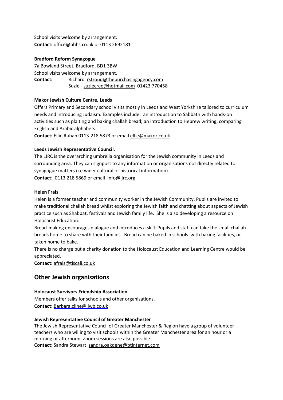School visits welcome by arrangement. **Contact:** [office@bhhs.co.uk](mailto:office@bhhs.co.uk) or 0113 2692181

### **Bradford Reform Synagogue**

7a Bowland Street, Bradford, BD1 3BW School visits welcome by arrangement. **Contact:** Richard [rstroud@thepurchasingagency.com](mailto:rstroud@thepurchasingagency.com) Suzie - [suziecree@hotmail.com](mailto:suziecree@hotmail.com) 01423 770458

### **Makor Jewish Culture Centre, Leeds**

Offers Primary and Secondary school visits mostly in Leeds and West Yorkshire tailored to curriculum needs and introducing Judaism. Examples include: an introduction to Sabbath with hands-on activities such as plaiting and baking challah bread; an introduction to Hebrew writing, comparing English and Arabic alphabets.

**Contact:** Ellie Ruhan 0113-218 5873 or email [ellie@makor.co.uk](mailto:ellie@makor.co.uk)

### **Leeds Jewish Representative Council.**

The LJRC is the overarching umbrella organisation for the Jewish community in Leeds and surrounding area. They can signpost to any information or organisations not directly related to synagogue matters (i.e wider cultural or historical information).

**Contact**: 0113 218 5869 or email [info@ljrc.org](mailto:info@ljrc.org)

### **Helen Frais**

Helen is a former teacher and community worker in the Jewish Community. Pupils are invited to make traditional challah bread whilst exploring the Jewish faith and chatting about aspects of Jewish practice such as Shabbat, festivals and Jewish family life. She is also developing a resource on Holocaust Education.

Bread-making encourages dialogue and introduces a skill. Pupils and staff can take the small challah breads home to share with their families. Bread can be baked in schools with baking facilities, or taken home to bake.

There is no charge but a charity donation to the Holocaust Education and Learning Centre would be appreciated.

**Contact:** [afrais@tiscali.co.uk](mailto:afrais@tiscali.co.uk)

### **Other Jewish organisations**

### **Holocaust Survivors Friendship Association**

Members offer talks for schools and other organisations.

**Contact:** [Barbara.cline@ljwb.co.uk](mailto:Barbara.cline@ljwb.co.uk)

### **Jewish Representative Council of Greater Manchester**

The Jewish Representative Council of Greater Manchester & Region have a group of volunteer teachers who are willing to visit schools within the Greater Manchester area for an hour or a morning or afternoon. Zoom sessions are also possible.

**Contact:** Sandra Stewart [sandra.oakdene@btinternet.com](mailto:sandra.oakdene@btinternet.com)